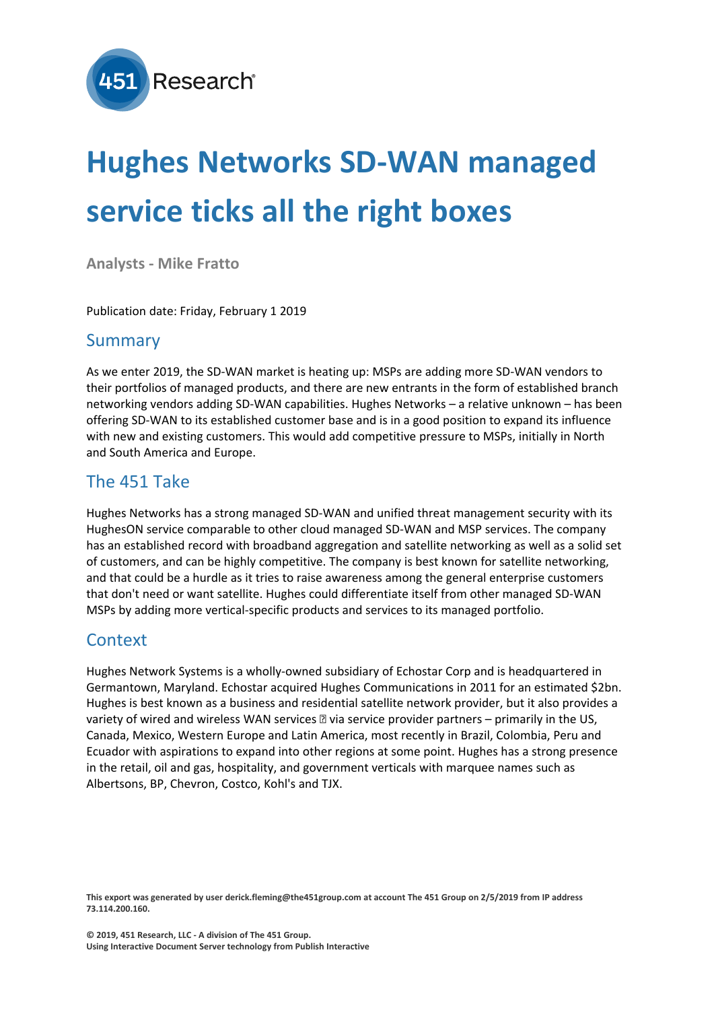

# **Hughes Networks SD-WAN managed service ticks all the right boxes**

**Analysts - Mike Fratto**

Publication date: Friday, February 1 2019

### Summary

As we enter 2019, the SD-WAN market is heating up: MSPs are adding more SD-WAN vendors to their portfolios of managed products, and there are new entrants in the form of established branch networking vendors adding SD-WAN capabilities. Hughes Networks – a relative unknown – has been offering SD-WAN to its established customer base and is in a good position to expand its influence with new and existing customers. This would add competitive pressure to MSPs, initially in North and South America and Europe.

### The 451 Take

Hughes Networks has a strong managed SD-WAN and unified threat management security with its HughesON service comparable to other cloud managed SD-WAN and MSP services. The company has an established record with broadband aggregation and satellite networking as well as a solid set of customers, and can be highly competitive. The company is best known for satellite networking, and that could be a hurdle as it tries to raise awareness among the general enterprise customers that don't need or want satellite. Hughes could differentiate itself from other managed SD-WAN MSPs by adding more vertical-specific products and services to its managed portfolio.

#### **Context**

Hughes Network Systems is a wholly-owned subsidiary of Echostar Corp and is headquartered in Germantown, Maryland. Echostar acquired Hughes Communications in 2011 for an estimated \$2bn. Hughes is best known as a business and residential satellite network provider, but it also provides a variety of wired and wireless WAN services  $\mathbb D$  via service provider partners – primarily in the US, Canada, Mexico, Western Europe and Latin America, most recently in Brazil, Colombia, Peru and Ecuador with aspirations to expand into other regions at some point. Hughes has a strong presence in the retail, oil and gas, hospitality, and government verticals with marquee names such as Albertsons, BP, Chevron, Costco, Kohl's and TJX.

This export was generated by user derick.fleming@the451group.com at account The 451 Group on 2/5/2019 from IP address **73.114.200.160.**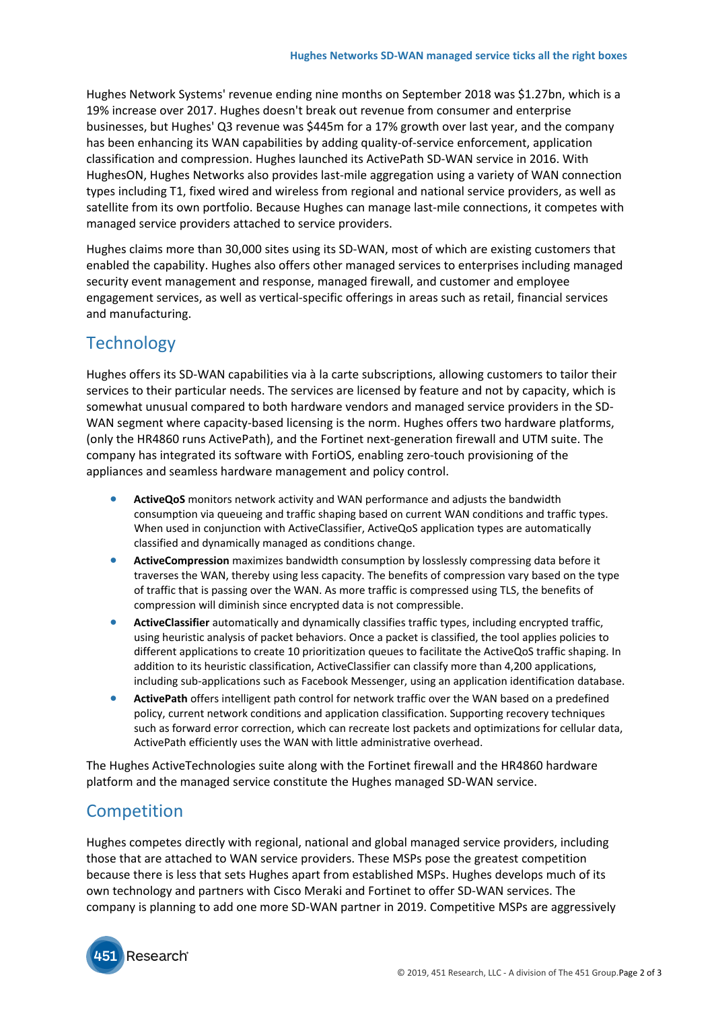Hughes Network Systems' revenue ending nine months on September 2018 was \$1.27bn, which is a 19% increase over 2017. Hughes doesn't break out revenue from consumer and enterprise businesses, but Hughes' Q3 revenue was \$445m for a 17% growth over last year, and the company has been enhancing its WAN capabilities by adding quality-of-service enforcement, application classification and compression. Hughes launched its ActivePath SD-WAN service in 2016. With HughesON, Hughes Networks also provides last-mile aggregation using a variety of WAN connection types including T1, fixed wired and wireless from regional and national service providers, as well as satellite from its own portfolio. Because Hughes can manage last-mile connections, it competes with managed service providers attached to service providers.

Hughes claims more than 30,000 sites using its SD-WAN, most of which are existing customers that enabled the capability. Hughes also offers other managed services to enterprises including managed security event management and response, managed firewall, and customer and employee engagement services, as well as vertical-specific offerings in areas such as retail, financial services and manufacturing.

# **Technology**

Hughes offers its SD-WAN capabilities via à la carte subscriptions, allowing customers to tailor their services to their particular needs. The services are licensed by feature and not by capacity, which is somewhat unusual compared to both hardware vendors and managed service providers in the SD-WAN segment where capacity-based licensing is the norm. Hughes offers two hardware platforms, (only the HR4860 runs ActivePath), and the Fortinet next-generation firewall and UTM suite. The company has integrated its software with FortiOS, enabling zero-touch provisioning of the appliances and seamless hardware management and policy control.

- **ActiveQoS** monitors network activity and WAN performance and adjusts the bandwidth consumption via queueing and traffic shaping based on current WAN conditions and traffic types. When used in conjunction with ActiveClassifier, ActiveQoS application types are automatically classified and dynamically managed as conditions change.
- **ActiveCompression** maximizes bandwidth consumption by losslessly compressing data before it traverses the WAN, thereby using less capacity. The benefits of compression vary based on the type of traffic that is passing over the WAN. As more traffic is compressed using TLS, the benefits of compression will diminish since encrypted data is not compressible.
- **ActiveClassifier** automatically and dynamically classifies traffic types, including encrypted traffic, using heuristic analysis of packet behaviors. Once a packet is classified, the tool applies policies to different applications to create 10 prioritization queues to facilitate the ActiveQoS traffic shaping. In addition to its heuristic classification, ActiveClassifier can classify more than 4,200 applications, including sub-applications such as Facebook Messenger, using an application identification database.
- **ActivePath** offers intelligent path control for network traffic over the WAN based on a predefined policy, current network conditions and application classification. Supporting recovery techniques such as forward error correction, which can recreate lost packets and optimizations for cellular data, ActivePath efficiently uses the WAN with little administrative overhead.

The Hughes ActiveTechnologies suite along with the Fortinet firewall and the HR4860 hardware platform and the managed service constitute the Hughes managed SD-WAN service.

## **Competition**

Hughes competes directly with regional, national and global managed service providers, including those that are attached to WAN service providers. These MSPs pose the greatest competition because there is less that sets Hughes apart from established MSPs. Hughes develops much of its own technology and partners with Cisco Meraki and Fortinet to offer SD-WAN services. The company is planning to add one more SD-WAN partner in 2019. Competitive MSPs are aggressively